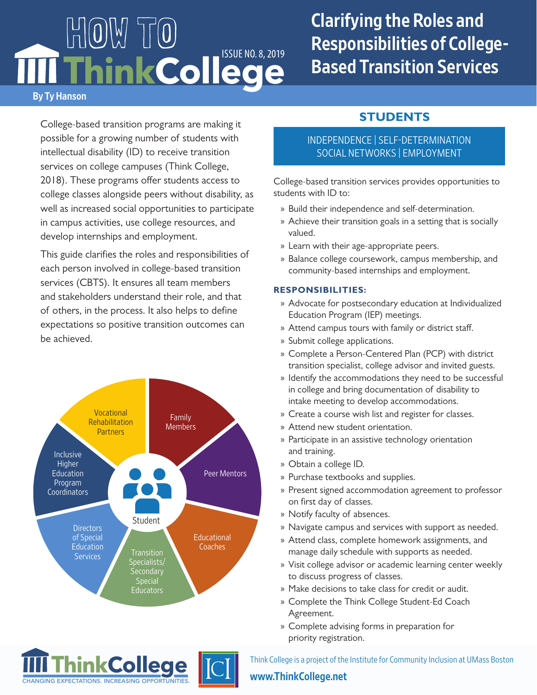# By Ty Hanson HOW TO Think College

## Clarifying the Roles and Responsibilities of College-Based Transition Services

College-based transition programs are making it possible for a growing number of students with intellectual disability (ID) to receive transition services on college campuses (Think College, 2018). These programs offer students access to college classes alongside peers without disability, as well as increased social opportunities to participate in campus activities, use college resources, and develop internships and employment.

This guide clarifies the roles and responsibilities of each person involved in college-based transition services (CBTS). It ensures all team members and stakeholders understand their role, and that of others, in the process. It also helps to define expectations so positive transition outcomes can be achieved.



**College**

CHANGING EXPECTATIONS. INCREASING OPPOR

## INDEPENDENCE | SELF-DETERMINATION SOCIAL NETWORKS | EMPLOYMENT

College-based transition services provides opportunities to students with ID to:

**STUDENTS**

- » Build their independence and self-determination.
- » Achieve their transition goals in a setting that is socially valued.
- » Learn with their age-appropriate peers.
- » Balance college coursework, campus membership, and community-based internships and employment.

#### **RESPONSIBILITIES:**

- » Advocate for postsecondary education at Individualized Education Program (IEP) meetings.
- » Attend campus tours with family or district staff.
- » Submit college applications.
- » Complete a Person-Centered Plan (PCP) with district transition specialist, college advisor and invited guests.
- » Identify the accommodations they need to be successful in college and bring documentation of disability to intake meeting to develop accommodations.
- » Create a course wish list and register for classes.
- » Attend new student orientation.
- » Participate in an assistive technology orientation and training.
- » Obtain a college ID.
- » Purchase textbooks and supplies.
- » Present signed accommodation agreement to professor on first day of classes.
- » Notify faculty of absences.
- » Navigate campus and services with support as needed.
- » Attend class, complete homework assignments, and manage daily schedule with supports as needed.
- » Visit college advisor or academic learning center weekly to discuss progress of classes.
- » Make decisions to take class for credit or audit.
- » Complete the Think College Student-Ed Coach Agreement.
- » Complete advising forms in preparation for priority registration.

Think College is a project of the Institute for Community Inclusion at UMass Boston

#### <www.ThinkCollege.net>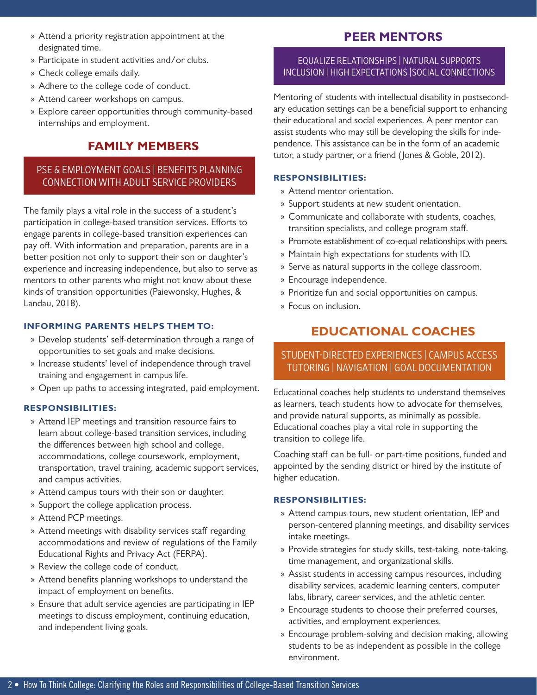- » Attend a priority registration appointment at the designated time.
- » Participate in student activities and/or clubs.
- » Check college emails daily.
- » Adhere to the college code of conduct.
- » Attend career workshops on campus.
- » Explore career opportunities through community-based internships and employment.

## **FAMILY MEMBERS**

#### PSE & EMPLOYMENT GOALS | BENEFITS PLANNING CONNECTION WITH ADULT SERVICE PROVIDERS

The family plays a vital role in the success of a student's participation in college-based transition services. Efforts to engage parents in college-based transition experiences can pay off. With information and preparation, parents are in a better position not only to support their son or daughter's experience and increasing independence, but also to serve as mentors to other parents who might not know about these kinds of transition opportunities (Paiewonsky, Hughes, & Landau, 2018).

#### **INFORMING PARENTS HELPS THEM TO:**

- » Develop students' self-determination through a range of opportunities to set goals and make decisions.
- » Increase students' level of independence through travel training and engagement in campus life.
- » Open up paths to accessing integrated, paid employment.

#### **RESPONSIBILITIES:**

- » Attend IEP meetings and transition resource fairs to learn about college-based transition services, including the differences between high school and college, accommodations, college coursework, employment, transportation, travel training, academic support services, and campus activities.
- » Attend campus tours with their son or daughter.
- » Support the college application process.
- » Attend PCP meetings.
- » Attend meetings with disability services staff regarding accommodations and review of regulations of the Family Educational Rights and Privacy Act (FERPA).
- » Review the college code of conduct.
- » Attend benefits planning workshops to understand the impact of employment on benefits.
- » Ensure that adult service agencies are participating in IEP meetings to discuss employment, continuing education, and independent living goals.

## **PEER MENTORS**

#### EQUALIZE RELATIONSHIPS | NATURAL SUPPORTS INCLUSION | HIGH EXPECTATIONS |SOCIAL CONNECTIONS

Mentoring of students with intellectual disability in postsecondary education settings can be a beneficial support to enhancing their educational and social experiences. A peer mentor can assist students who may still be developing the skills for independence. This assistance can be in the form of an academic tutor, a study partner, or a friend (Jones & Goble, 2012).

#### **RESPONSIBILITIES:**

- » Attend mentor orientation.
- » Support students at new student orientation.
- » Communicate and collaborate with students, coaches, transition specialists, and college program staff.
- » Promote establishment of co-equal relationships with peers.
- » Maintain high expectations for students with ID.
- » Serve as natural supports in the college classroom.
- » Encourage independence.
- » Prioritize fun and social opportunities on campus.
- » Focus on inclusion.

## **EDUCATIONAL COACHES**

#### STUDENT-DIRECTED EXPERIENCES | CAMPUS ACCESS TUTORING | NAVIGATION | GOAL DOCUMENTATION

Educational coaches help students to understand themselves as learners, teach students how to advocate for themselves, and provide natural supports, as minimally as possible. Educational coaches play a vital role in supporting the transition to college life.

Coaching staff can be full- or part-time positions, funded and appointed by the sending district or hired by the institute of higher education.

#### **RESPONSIBILITIES:**

- » Attend campus tours, new student orientation, IEP and person-centered planning meetings, and disability services intake meetings.
- » Provide strategies for study skills, test-taking, note-taking, time management, and organizational skills.
- » Assist students in accessing campus resources, including disability services, academic learning centers, computer labs, library, career services, and the athletic center.
- » Encourage students to choose their preferred courses, activities, and employment experiences.
- » Encourage problem-solving and decision making, allowing students to be as independent as possible in the college environment.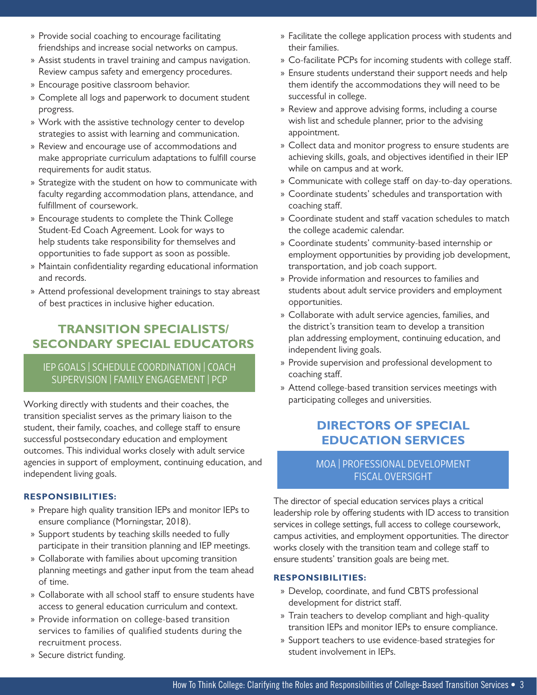- » Provide social coaching to encourage facilitating friendships and increase social networks on campus.
- » Assist students in travel training and campus navigation. Review campus safety and emergency procedures.
- » Encourage positive classroom behavior.
- » Complete all logs and paperwork to document student progress.
- » Work with the assistive technology center to develop strategies to assist with learning and communication.
- » Review and encourage use of accommodations and make appropriate curriculum adaptations to fulfill course requirements for audit status.
- » Strategize with the student on how to communicate with faculty regarding accommodation plans, attendance, and fulfillment of coursework.
- » Encourage students to complete the Think College Student-Ed Coach Agreement. Look for ways to help students take responsibility for themselves and opportunities to fade support as soon as possible.
- » Maintain confidentiality regarding educational information and records.
- » Attend professional development trainings to stay abreast of best practices in inclusive higher education.

## **TRANSITION SPECIALISTS/ SECONDARY SPECIAL EDUCATORS**

### IEP GOALS | SCHEDULE COORDINATION | COACH SUPERVISION | FAMILY ENGAGEMENT | PCP

Working directly with students and their coaches, the transition specialist serves as the primary liaison to the student, their family, coaches, and college staff to ensure successful postsecondary education and employment outcomes. This individual works closely with adult service agencies in support of employment, continuing education, and independent living goals.

#### **RESPONSIBILITIES:**

- » Prepare high quality transition IEPs and monitor IEPs to ensure compliance (Morningstar, 2018).
- » Support students by teaching skills needed to fully participate in their transition planning and IEP meetings.
- » Collaborate with families about upcoming transition planning meetings and gather input from the team ahead of time.
- » Collaborate with all school staff to ensure students have access to general education curriculum and context.
- » Provide information on college-based transition services to families of qualified students during the recruitment process.
- » Secure district funding.
- » Facilitate the college application process with students and their families.
- » Co-facilitate PCPs for incoming students with college staff.
- » Ensure students understand their support needs and help them identify the accommodations they will need to be successful in college.
- » Review and approve advising forms, including a course wish list and schedule planner, prior to the advising appointment.
- » Collect data and monitor progress to ensure students are achieving skills, goals, and objectives identified in their IEP while on campus and at work.
- » Communicate with college staff on day-to-day operations.
- » Coordinate students' schedules and transportation with coaching staff.
- » Coordinate student and staff vacation schedules to match the college academic calendar.
- » Coordinate students' community-based internship or employment opportunities by providing job development, transportation, and job coach support.
- » Provide information and resources to families and students about adult service providers and employment opportunities.
- » Collaborate with adult service agencies, families, and the district's transition team to develop a transition plan addressing employment, continuing education, and independent living goals.
- » Provide supervision and professional development to coaching staff.
- » Attend college-based transition services meetings with participating colleges and universities.

## **DIRECTORS OF SPECIAL EDUCATION SERVICES**

#### MOA | PROFESSIONAL DEVELOPMENT FISCAL OVERSIGHT

The director of special education services plays a critical leadership role by offering students with ID access to transition services in college settings, full access to college coursework, campus activities, and employment opportunities. The director works closely with the transition team and college staff to ensure students' transition goals are being met.

#### **RESPONSIBILITIES:**

- » Develop, coordinate, and fund CBTS professional development for district staff.
- » Train teachers to develop compliant and high-quality transition IEPs and monitor IEPs to ensure compliance.
- » Support teachers to use evidence-based strategies for student involvement in IEPs.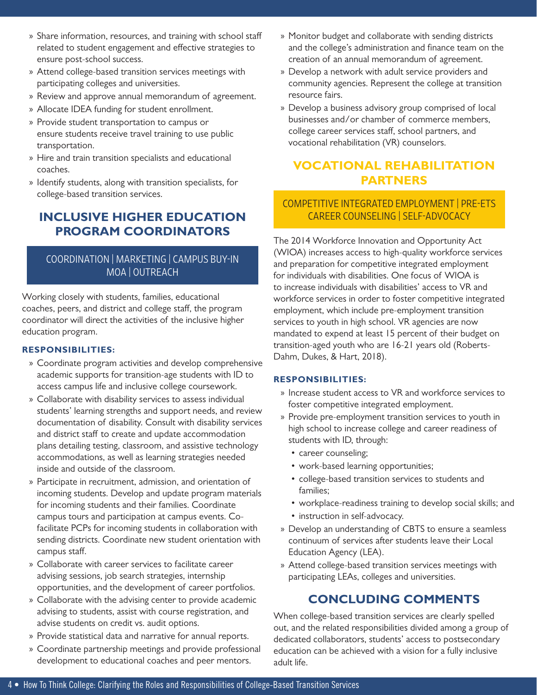- » Share information, resources, and training with school staff related to student engagement and effective strategies to ensure post-school success.
- » Attend college-based transition services meetings with participating colleges and universities.
- » Review and approve annual memorandum of agreement.
- » Allocate IDEA funding for student enrollment.
- » Provide student transportation to campus or ensure students receive travel training to use public transportation.
- » Hire and train transition specialists and educational coaches.
- » Identify students, along with transition specialists, for college-based transition services.

## **INCLUSIVE HIGHER EDUCATION PROGRAM COORDINATORS**

#### COORDINATION | MARKETING | CAMPUS BUY-IN MOA | OUTREACH

Working closely with students, families, educational coaches, peers, and district and college staff, the program coordinator will direct the activities of the inclusive higher education program.

#### **RESPONSIBILITIES:**

- » Coordinate program activities and develop comprehensive academic supports for transition-age students with ID to access campus life and inclusive college coursework.
- » Collaborate with disability services to assess individual students' learning strengths and support needs, and review documentation of disability. Consult with disability services and district staff to create and update accommodation plans detailing testing, classroom, and assistive technology accommodations, as well as learning strategies needed inside and outside of the classroom.
- » Participate in recruitment, admission, and orientation of incoming students. Develop and update program materials for incoming students and their families. Coordinate campus tours and participation at campus events. Cofacilitate PCPs for incoming students in collaboration with sending districts. Coordinate new student orientation with campus staff.
- » Collaborate with career services to facilitate career advising sessions, job search strategies, internship opportunities, and the development of career portfolios.
- » Collaborate with the advising center to provide academic advising to students, assist with course registration, and advise students on credit vs. audit options.
- » Provide statistical data and narrative for annual reports.
- » Coordinate partnership meetings and provide professional development to educational coaches and peer mentors.
- » Monitor budget and collaborate with sending districts and the college's administration and finance team on the creation of an annual memorandum of agreement.
- » Develop a network with adult service providers and community agencies. Represent the college at transition resource fairs.
- » Develop a business advisory group comprised of local businesses and/or chamber of commerce members, college career services staff, school partners, and vocational rehabilitation (VR) counselors.

## **VOCATIONAL REHABILITATION PARTNERS**

#### COMPETITIVE INTEGRATED EMPLOYMENT | PRE-ETS CAREER COUNSELING | SELF-ADVOCACY

The 2014 Workforce Innovation and Opportunity Act (WIOA) increases access to high-quality workforce services and preparation for competitive integrated employment for individuals with disabilities. One focus of WIOA is to increase individuals with disabilities' access to VR and workforce services in order to foster competitive integrated employment, which include pre-employment transition services to youth in high school. VR agencies are now mandated to expend at least 15 percent of their budget on transition-aged youth who are 16-21 years old (Roberts-Dahm, Dukes, & Hart, 2018).

#### **RESPONSIBILITIES:**

- » Increase student access to VR and workforce services to foster competitive integrated employment.
- » Provide pre-employment transition services to youth in high school to increase college and career readiness of students with ID, through:
	- career counseling;
	- work-based learning opportunities;
	- college-based transition services to students and families;
	- workplace-readiness training to develop social skills; and
	- instruction in self-advocacy.
- » Develop an understanding of CBTS to ensure a seamless continuum of services after students leave their Local Education Agency (LEA).
- » Attend college-based transition services meetings with participating LEAs, colleges and universities.

## **CONCLUDING COMMENTS**

When college-based transition services are clearly spelled out, and the related responsibilities divided among a group of dedicated collaborators, students' access to postsecondary education can be achieved with a vision for a fully inclusive adult life.